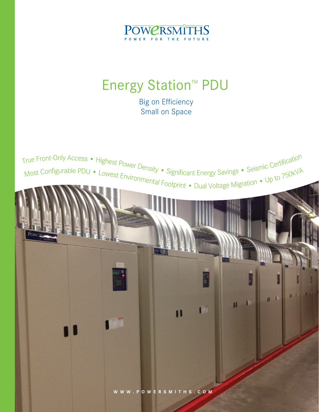

# **Energy Station<sup>™</sup> PDU**

Big on Efficiency Small on Space

True Front-Only Access • Highest Power Density • Significant Energy Savings • Seismic Certification<br>Most Configurable PDU • Lowest Environment of Significant Energy Savings • Seismic Certification Most Configurable PDU • Lowest Environmental Footprint • Dual Voltage Migration • Up to 750kVA<br>
The Context Lines of The Context Footprint • Dual Voltage Migration • Up to 750kVA



**CONTRACTOR** 

H.

 $\mathbf{1}$ 

 $\mathbf{H}$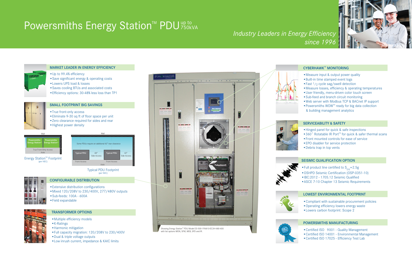#### LOWEST ENVIRONMENTAL FOOTPRINT

- •Compliant with sustainable procurement policies
- •Operating efficiency lowers energy waste
- •Lowers carbon footprint: Scope 2

## *Industry Leaders in Energy Efficiency*





#### CYBERHAWK™ MONITORING

#### SERVICEABILITY & SAFETY

- •Hinged panel for quick & safe inspections
- 360° Rotatable IR Port<sup>™</sup> for quick & safer thermal scans
- •Front mounted controls for ease of service
- •EPO disabler for service protection
- •Debris trap in top vents

## Powersmiths Energy Station<sup>™</sup> PDU<sup>up to</sup> 750kVA

#### CONFIGURABLE DISTRIBUTION

- •Extensive distribution configurations
- •Mixed 120/208V to 230/400V, 277/480V outputs
- •Sub-feeds: 100A 600A
- •Field expandable

### TRANSFORMER OPTIONS

- •Multiple efficiency models
- •K-Ratings
- •Harmonic mitigation
- •Full capacity migration: 120/208V to 230/400V
- •Dual & triple voltage outputs
- •Low inrush current, impedance & KAIC limits
- Full product line certified to  $S_{\text{DS}}=2.5g$
- •OSHPD Seismic Certification (OSP-0351-10)
- •IBC:2012 1705.12 Seismic Qualified
- •ASCE 7-10 Chapter 13 Seismic Requirements















- Measure input & output power quality
- •Built-in time stamped event logs
- Fast  $1/2$  cycle sag/swell detection
- •Measure losses, efficiency & operating temperatures
- •User friendly, menu-driven color touch screen
- •Sub-feed and branch circuit monitoring
- •Web server with Modbus TCP & BACnet IP support
- Powersmiths WOW<sup>™</sup> ready for big data collection & building management analytics

#### SMALL FOOTPRINT BIG SAVINGS

Energy Station<sup>™</sup> Footprint (per NEC)

•True front-only access

•Eliminate 9-30 sq ft of floor space per unit

- •Zero clearance required for sides and rear
- •Highest power density

MARKET LEADER IN ENERGY EFFICIENCY

•Up to 99.4% efficiency

•Save significant energy & operating costs

•Lowers UPS load & losses

•Saves cooling BTUs and associated costs •Efficiency options: 30-48% less loss than TP1

#### SEISMIC QUALIFICATION OPTION

Typical PDU Typical PDU Footprint (per NEC)



|                                              | Wall                                         |
|----------------------------------------------|----------------------------------------------|
| <b>Powersmiths</b><br><b>Energy Station™</b> | <b>Powersmiths</b><br><b>Energy Station™</b> |
|                                              | <b>True Front-Only Access</b><br>Aisle       |



#### POWERSMITHS MANUFACTURING

- •Certified ISO 9001 Quality Management
- •Certified ISO 14001 Environmental Management
- •Certified ISO 17025 Efficiency Test Lab